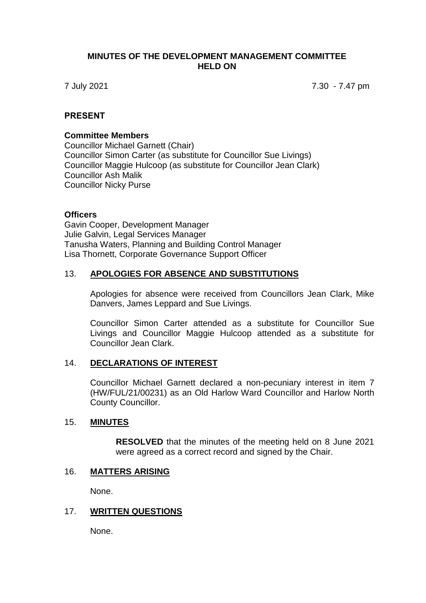## **MINUTES OF THE DEVELOPMENT MANAGEMENT COMMITTEE HELD ON**

7 July 2021 7.30 - 7.47 pm

## **PRESENT**

### **Committee Members**

Councillor Michael Garnett (Chair) Councillor Simon Carter (as substitute for Councillor Sue Livings) Councillor Maggie Hulcoop (as substitute for Councillor Jean Clark) Councillor Ash Malik Councillor Nicky Purse

## **Officers**

Gavin Cooper, Development Manager Julie Galvin, Legal Services Manager Tanusha Waters, Planning and Building Control Manager Lisa Thornett, Corporate Governance Support Officer

## 13. **APOLOGIES FOR ABSENCE AND SUBSTITUTIONS**

Apologies for absence were received from Councillors Jean Clark, Mike Danvers, James Leppard and Sue Livings.

Councillor Simon Carter attended as a substitute for Councillor Sue Livings and Councillor Maggie Hulcoop attended as a substitute for Councillor Jean Clark.

# 14. **DECLARATIONS OF INTEREST**

Councillor Michael Garnett declared a non-pecuniary interest in item 7 (HW/FUL/21/00231) as an Old Harlow Ward Councillor and Harlow North County Councillor.

#### 15. **MINUTES**

**RESOLVED** that the minutes of the meeting held on 8 June 2021 were agreed as a correct record and signed by the Chair.

#### 16. **MATTERS ARISING**

None.

#### 17. **WRITTEN QUESTIONS**

None.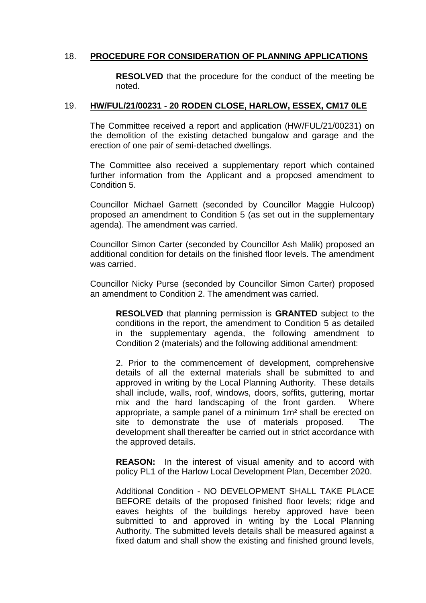# 18. **PROCEDURE FOR CONSIDERATION OF PLANNING APPLICATIONS**

**RESOLVED** that the procedure for the conduct of the meeting be noted.

## 19. **HW/FUL/21/00231 - 20 RODEN CLOSE, HARLOW, ESSEX, CM17 0LE**

The Committee received a report and application (HW/FUL/21/00231) on the demolition of the existing detached bungalow and garage and the erection of one pair of semi-detached dwellings.

The Committee also received a supplementary report which contained further information from the Applicant and a proposed amendment to Condition 5.

Councillor Michael Garnett (seconded by Councillor Maggie Hulcoop) proposed an amendment to Condition 5 (as set out in the supplementary agenda). The amendment was carried.

Councillor Simon Carter (seconded by Councillor Ash Malik) proposed an additional condition for details on the finished floor levels. The amendment was carried.

Councillor Nicky Purse (seconded by Councillor Simon Carter) proposed an amendment to Condition 2. The amendment was carried.

**RESOLVED** that planning permission is **GRANTED** subject to the conditions in the report, the amendment to Condition 5 as detailed in the supplementary agenda, the following amendment to Condition 2 (materials) and the following additional amendment:

2. Prior to the commencement of development, comprehensive details of all the external materials shall be submitted to and approved in writing by the Local Planning Authority. These details shall include, walls, roof, windows, doors, soffits, guttering, mortar mix and the hard landscaping of the front garden. Where appropriate, a sample panel of a minimum 1m² shall be erected on site to demonstrate the use of materials proposed. The development shall thereafter be carried out in strict accordance with the approved details.

**REASON:** In the interest of visual amenity and to accord with policy PL1 of the Harlow Local Development Plan, December 2020.

Additional Condition - NO DEVELOPMENT SHALL TAKE PLACE BEFORE details of the proposed finished floor levels; ridge and eaves heights of the buildings hereby approved have been submitted to and approved in writing by the Local Planning Authority. The submitted levels details shall be measured against a fixed datum and shall show the existing and finished ground levels,